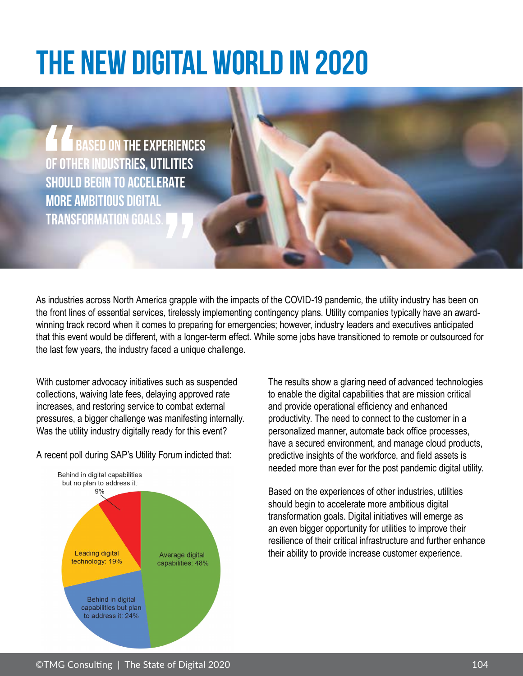## **THE NEW DIGITAL WORLD IN 2020**

**BASED ON THE EXPERIENCES of other industries, utilities should begin to accelerate more ambitious digital transformation goals.** 

As industries across North America grapple with the impacts of the COVID-19 pandemic, the utility industry has been on the front lines of essential services, tirelessly implementing contingency plans. Utility companies typically have an awardwinning track record when it comes to preparing for emergencies; however, industry leaders and executives anticipated that this event would be different, with a longer-term effect. While some jobs have transitioned to remote or outsourced for the last few years, the industry faced a unique challenge.

With customer advocacy initiatives such as suspended collections, waiving late fees, delaying approved rate increases, and restoring service to combat external pressures, a bigger challenge was manifesting internally. Was the utility industry digitally ready for this event?

A recent poll during SAP's Utility Forum indicted that:



The results show a glaring need of advanced technologies to enable the digital capabilities that are mission critical and provide operational efficiency and enhanced productivity. The need to connect to the customer in a personalized manner, automate back office processes, have a secured environment, and manage cloud products, predictive insights of the workforce, and field assets is needed more than ever for the post pandemic digital utility.

Based on the experiences of other industries, utilities should begin to accelerate more ambitious digital transformation goals. Digital initiatives will emerge as an even bigger opportunity for utilities to improve their resilience of their critical infrastructure and further enhance their ability to provide increase customer experience.